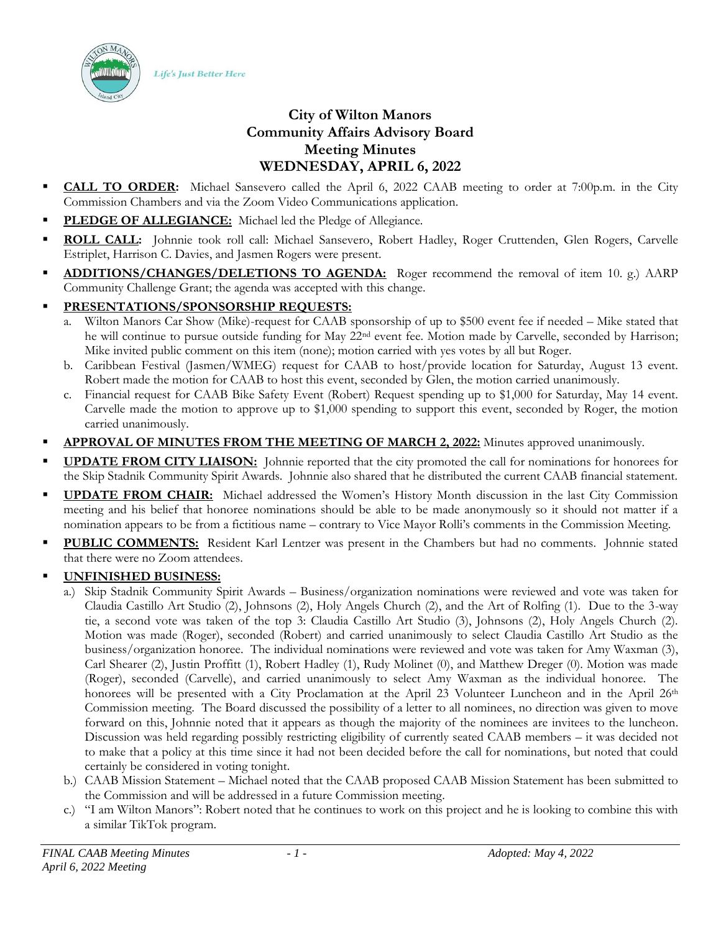Life's Just Better Here



- **CALL TO ORDER:** Michael Sansevero called the April 6, 2022 CAAB meeting to order at 7:00p.m. in the City Commission Chambers and via the Zoom Video Communications application.
- PLEDGE OF ALLEGIANCE: Michael led the Pledge of Allegiance.
- ROLL CALL: Johnnie took roll call: Michael Sansevero, Robert Hadley, Roger Cruttenden, Glen Rogers, Carvelle Estriplet, Harrison C. Davies, and Jasmen Rogers were present.
- ADDITIONS/CHANGES/DELETIONS TO AGENDA: Roger recommend the removal of item 10. g.) AARP Community Challenge Grant; the agenda was accepted with this change.
- **PRESENTATIONS/SPONSORSHIP REQUESTS:**
	- a. Wilton Manors Car Show (Mike)-request for CAAB sponsorship of up to \$500 event fee if needed Mike stated that he will continue to pursue outside funding for May 22<sup>nd</sup> event fee. Motion made by Carvelle, seconded by Harrison; Mike invited public comment on this item (none); motion carried with yes votes by all but Roger.
	- b. Caribbean Festival (Jasmen/WMEG) request for CAAB to host/provide location for Saturday, August 13 event. Robert made the motion for CAAB to host this event, seconded by Glen, the motion carried unanimously.
	- c. Financial request for CAAB Bike Safety Event (Robert) Request spending up to \$1,000 for Saturday, May 14 event. Carvelle made the motion to approve up to \$1,000 spending to support this event, seconded by Roger, the motion carried unanimously.
- APPROVAL OF MINUTES FROM THE MEETING OF MARCH 2, 2022: Minutes approved unanimously.
- **UPDATE FROM CITY LIAISON:** Johnnie reported that the city promoted the call for nominations for honorees for the Skip Stadnik Community Spirit Awards. Johnnie also shared that he distributed the current CAAB financial statement.
- **UPDATE FROM CHAIR:** Michael addressed the Women's History Month discussion in the last City Commission meeting and his belief that honoree nominations should be able to be made anonymously so it should not matter if a nomination appears to be from a fictitious name – contrary to Vice Mayor Rolli's comments in the Commission Meeting.
- PUBLIC COMMENTS: Resident Karl Lentzer was present in the Chambers but had no comments. Johnnie stated that there were no Zoom attendees.
- **UNFINISHED BUSINESS:**
	- a.) Skip Stadnik Community Spirit Awards Business/organization nominations were reviewed and vote was taken for Claudia Castillo Art Studio (2), Johnsons (2), Holy Angels Church (2), and the Art of Rolfing (1). Due to the 3-way tie, a second vote was taken of the top 3: Claudia Castillo Art Studio (3), Johnsons (2), Holy Angels Church (2). Motion was made (Roger), seconded (Robert) and carried unanimously to select Claudia Castillo Art Studio as the business/organization honoree. The individual nominations were reviewed and vote was taken for Amy Waxman (3), Carl Shearer (2), Justin Proffitt (1), Robert Hadley (1), Rudy Molinet (0), and Matthew Dreger (0). Motion was made (Roger), seconded (Carvelle), and carried unanimously to select Amy Waxman as the individual honoree. The honorees will be presented with a City Proclamation at the April 23 Volunteer Luncheon and in the April 26<sup>th</sup> Commission meeting. The Board discussed the possibility of a letter to all nominees, no direction was given to move forward on this, Johnnie noted that it appears as though the majority of the nominees are invitees to the luncheon. Discussion was held regarding possibly restricting eligibility of currently seated CAAB members – it was decided not to make that a policy at this time since it had not been decided before the call for nominations, but noted that could certainly be considered in voting tonight.
	- b.) CAAB Mission Statement Michael noted that the CAAB proposed CAAB Mission Statement has been submitted to the Commission and will be addressed in a future Commission meeting.
	- c.) "I am Wilton Manors": Robert noted that he continues to work on this project and he is looking to combine this with a similar TikTok program.